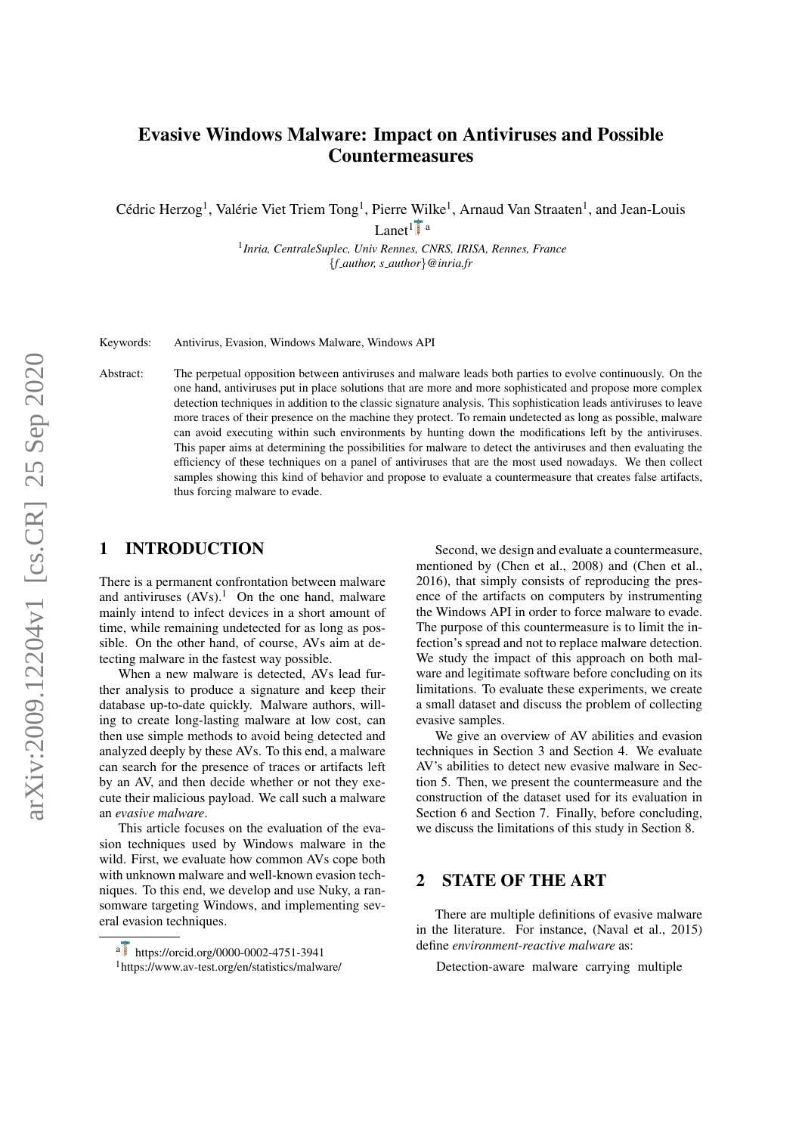# <span id="page-0-1"></span>Evasive Windows Malware: Impact on Antiviruses and Possible Countermeasures

Cédric Herzog<sup>1</sup>, Valérie Viet Triem Tong<sup>1</sup>, Pierre Wilke<sup>1</sup>, Arnaud Van Straaten<sup>1</sup>, and Jean-Louis Lanet<sup>1</sup>  $\mathbf{F}_{\mathbf{a}}$ 

> 1 *Inria, CentraleSuplec, Univ Rennes, CNRS, IRISA, Rennes, France* {*f author, s author*}*@inria.fr*

Keywords: Antivirus, Evasion, Windows Malware, Windows API

Abstract: The perpetual opposition between antiviruses and malware leads both parties to evolve continuously. On the one hand, antiviruses put in place solutions that are more and more sophisticated and propose more complex detection techniques in addition to the classic signature analysis. This sophistication leads antiviruses to leave more traces of their presence on the machine they protect. To remain undetected as long as possible, malware can avoid executing within such environments by hunting down the modifications left by the antiviruses. This paper aims at determining the possibilities for malware to detect the antiviruses and then evaluating the efficiency of these techniques on a panel of antiviruses that are the most used nowadays. We then collect samples showing this kind of behavior and propose to evaluate a countermeasure that creates false artifacts, thus forcing malware to evade.

### 1 INTRODUCTION

There is a permanent confrontation between malware and antiviruses  $(AVs).<sup>1</sup>$  $(AVs).<sup>1</sup>$  $(AVs).<sup>1</sup>$  On the one hand, malware mainly intend to infect devices in a short amount of time, while remaining undetected for as long as possible. On the other hand, of course, AVs aim at detecting malware in the fastest way possible.

When a new malware is detected, AVs lead further analysis to produce a signature and keep their database up-to-date quickly. Malware authors, willing to create long-lasting malware at low cost, can then use simple methods to avoid being detected and analyzed deeply by these AVs. To this end, a malware can search for the presence of traces or artifacts left by an AV, and then decide whether or not they execute their malicious payload. We call such a malware an *evasive malware*.

This article focuses on the evaluation of the evasion techniques used by Windows malware in the wild. First, we evaluate how common AVs cope both with unknown malware and well-known evasion techniques. To this end, we develop and use Nuky, a ransomware targeting Windows, and implementing several evasion techniques.

Second, we design and evaluate a countermeasure, mentioned by [\(Chen et al., 2008\)](#page-7-0) and [\(Chen et al.,](#page-7-1) [2016\)](#page-7-1), that simply consists of reproducing the presence of the artifacts on computers by instrumenting the Windows API in order to force malware to evade. The purpose of this countermeasure is to limit the infection's spread and not to replace malware detection. We study the impact of this approach on both malware and legitimate software before concluding on its limitations. To evaluate these experiments, we create a small dataset and discuss the problem of collecting evasive samples.

We give an overview of AV abilities and evasion techniques in Section [3](#page-1-0) and Section [4.](#page-2-0) We evaluate AV's abilities to detect new evasive malware in Section [5.](#page-2-1) Then, we present the countermeasure and the construction of the dataset used for its evaluation in Section [6](#page-4-0) and Section [7.](#page-5-0) Finally, before concluding, we discuss the limitations of this study in Section [8.](#page-6-0)

# 2 STATE OF THE ART

There are multiple definitions of evasive malware in the literature. For instance, [\(Naval et al., 2015\)](#page-7-2) define *environment-reactive malware* as:

Detection-aware malware carrying multiple

<span id="page-0-0"></span>a https://orcid.org/0000-0002-4751-3941 <sup>1</sup><https://www.av-test.org/en/statistics/malware/>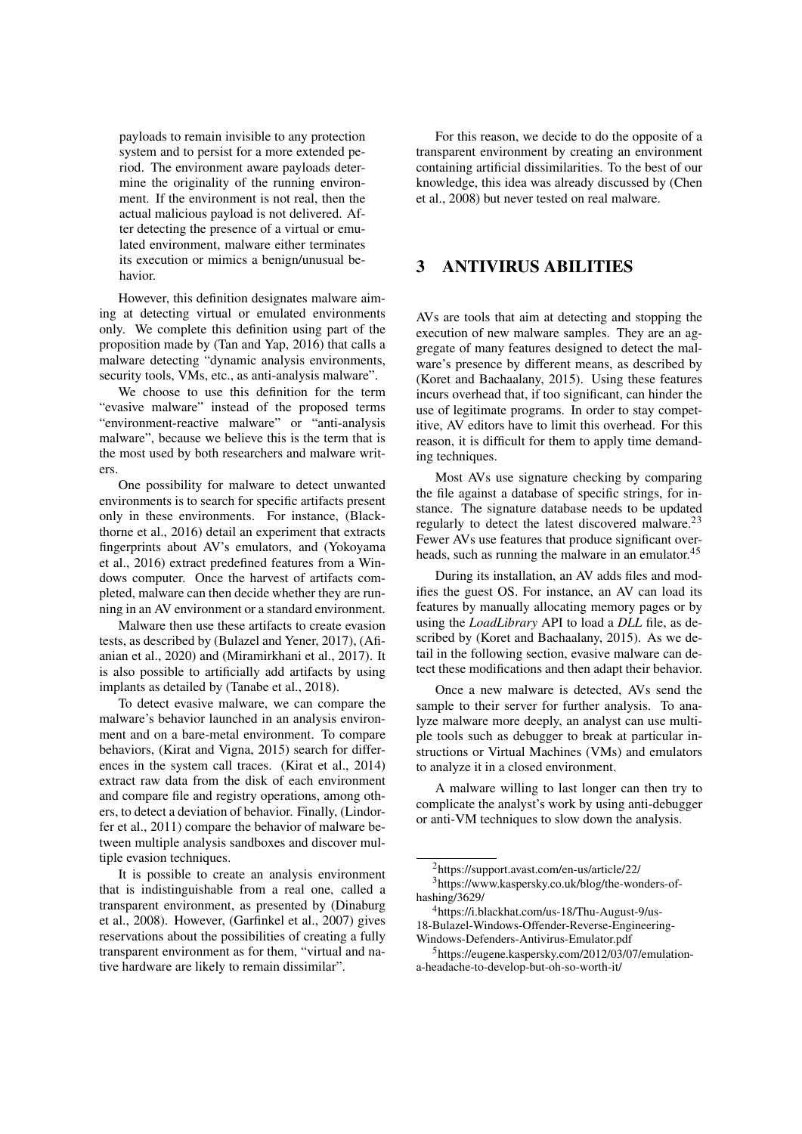payloads to remain invisible to any protection system and to persist for a more extended period. The environment aware payloads determine the originality of the running environment. If the environment is not real, then the actual malicious payload is not delivered. After detecting the presence of a virtual or emulated environment, malware either terminates its execution or mimics a benign/unusual behavior.

However, this definition designates malware aiming at detecting virtual or emulated environments only. We complete this definition using part of the proposition made by [\(Tan and Yap, 2016\)](#page-7-3) that calls a malware detecting "dynamic analysis environments, security tools, VMs, etc., as anti-analysis malware".

We choose to use this definition for the term "evasive malware" instead of the proposed terms "environment-reactive malware" or "anti-analysis malware", because we believe this is the term that is the most used by both researchers and malware writers.

One possibility for malware to detect unwanted environments is to search for specific artifacts present only in these environments. For instance, [\(Black](#page-7-4)[thorne et al., 2016\)](#page-7-4) detail an experiment that extracts fingerprints about AV's emulators, and [\(Yokoyama](#page-7-5) [et al., 2016\)](#page-7-5) extract predefined features from a Windows computer. Once the harvest of artifacts completed, malware can then decide whether they are running in an AV environment or a standard environment.

Malware then use these artifacts to create evasion tests, as described by [\(Bulazel and Yener, 2017\)](#page-7-6), [\(Afi](#page-7-7)[anian et al., 2020\)](#page-7-7) and [\(Miramirkhani et al., 2017\)](#page-7-8). It is also possible to artificially add artifacts by using implants as detailed by [\(Tanabe et al., 2018\)](#page-7-9).

To detect evasive malware, we can compare the malware's behavior launched in an analysis environment and on a bare-metal environment. To compare behaviors, [\(Kirat and Vigna, 2015\)](#page-7-10) search for differences in the system call traces. [\(Kirat et al., 2014\)](#page-7-11) extract raw data from the disk of each environment and compare file and registry operations, among others, to detect a deviation of behavior. Finally, [\(Lindor](#page-7-12)[fer et al., 2011\)](#page-7-12) compare the behavior of malware between multiple analysis sandboxes and discover multiple evasion techniques.

It is possible to create an analysis environment that is indistinguishable from a real one, called a transparent environment, as presented by [\(Dinaburg](#page-7-13) [et al., 2008\)](#page-7-13). However, [\(Garfinkel et al., 2007\)](#page-7-14) gives reservations about the possibilities of creating a fully transparent environment as for them, "virtual and native hardware are likely to remain dissimilar".

For this reason, we decide to do the opposite of a transparent environment by creating an environment containing artificial dissimilarities. To the best of our knowledge, this idea was already discussed by [\(Chen](#page-7-0) [et al., 2008\)](#page-7-0) but never tested on real malware.

# <span id="page-1-0"></span>3 ANTIVIRUS ABILITIES

AVs are tools that aim at detecting and stopping the execution of new malware samples. They are an aggregate of many features designed to detect the malware's presence by different means, as described by [\(Koret and Bachaalany, 2015\)](#page-7-15). Using these features incurs overhead that, if too significant, can hinder the use of legitimate programs. In order to stay competitive, AV editors have to limit this overhead. For this reason, it is difficult for them to apply time demanding techniques.

Most AVs use signature checking by comparing the file against a database of specific strings, for instance. The signature database needs to be updated regularly to detect the latest discovered malware.[2](#page-1-1)[3](#page-1-2) Fewer AVs use features that produce significant over-heads, such as running the malware in an emulator.<sup>[4](#page-1-3)[5](#page-1-4)</sup>

During its installation, an AV adds files and modifies the guest OS. For instance, an AV can load its features by manually allocating memory pages or by using the *LoadLibrary* API to load a *DLL* file, as described by [\(Koret and Bachaalany, 2015\)](#page-7-15). As we detail in the following section, evasive malware can detect these modifications and then adapt their behavior.

Once a new malware is detected, AVs send the sample to their server for further analysis. To analyze malware more deeply, an analyst can use multiple tools such as debugger to break at particular instructions or Virtual Machines (VMs) and emulators to analyze it in a closed environment.

A malware willing to last longer can then try to complicate the analyst's work by using anti-debugger or anti-VM techniques to slow down the analysis.

<span id="page-1-2"></span><span id="page-1-1"></span><sup>2</sup><https://support.avast.com/en-us/article/22/> <sup>3</sup>[https://www.kaspersky.co.uk/blog/the-wonders-of](https://www.kaspersky.co.uk/blog/the-wonders-of-hashing/3629/)[hashing/3629/](https://www.kaspersky.co.uk/blog/the-wonders-of-hashing/3629/)

<span id="page-1-3"></span><sup>4</sup>[https://i.blackhat.com/us-18/Thu-August-9/us-](https://i.blackhat.com/us-18/Thu-August-9/us-18-Bulazel-Windows-Offender-Reverse-Engineering-Windows-Defenders-Antivirus-Emulator.pdf)[18-Bulazel-Windows-Offender-Reverse-Engineering-](https://i.blackhat.com/us-18/Thu-August-9/us-18-Bulazel-Windows-Offender-Reverse-Engineering-Windows-Defenders-Antivirus-Emulator.pdf)[Windows-Defenders-Antivirus-Emulator.pdf](https://i.blackhat.com/us-18/Thu-August-9/us-18-Bulazel-Windows-Offender-Reverse-Engineering-Windows-Defenders-Antivirus-Emulator.pdf)

<span id="page-1-4"></span><sup>5</sup>[https://eugene.kaspersky.com/2012/03/07/emulation](https://eugene.kaspersky.com/2012/03/07/emulation-a-headache-to-develop-but-oh-so-worth-it/)[a-headache-to-develop-but-oh-so-worth-it/](https://eugene.kaspersky.com/2012/03/07/emulation-a-headache-to-develop-but-oh-so-worth-it/)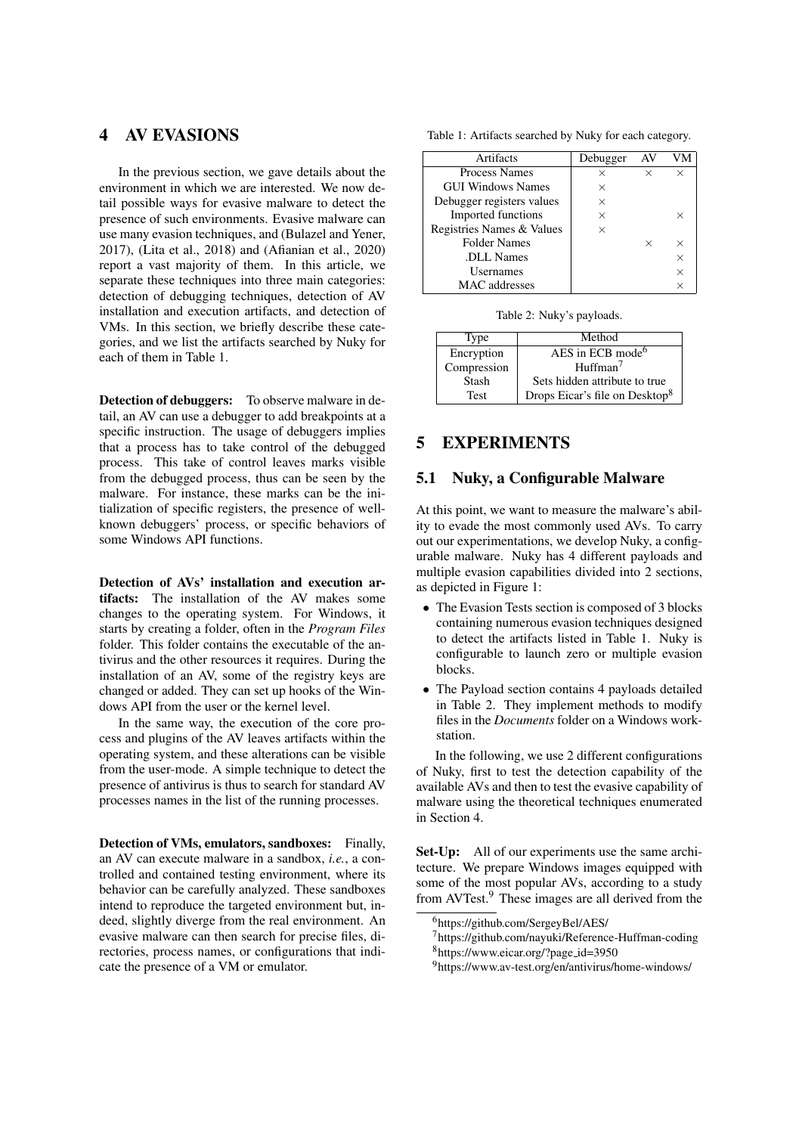# <span id="page-2-0"></span>4 AV EVASIONS

In the previous section, we gave details about the environment in which we are interested. We now detail possible ways for evasive malware to detect the presence of such environments. Evasive malware can use many evasion techniques, and [\(Bulazel and Yener,](#page-7-6) [2017\)](#page-7-6), [\(Lita et al., 2018\)](#page-7-16) and [\(Afianian et al., 2020\)](#page-7-7) report a vast majority of them. In this article, we separate these techniques into three main categories: detection of debugging techniques, detection of AV installation and execution artifacts, and detection of VMs. In this section, we briefly describe these categories, and we list the artifacts searched by Nuky for each of them in Table [1.](#page-2-2)

Detection of debuggers: To observe malware in detail, an AV can use a debugger to add breakpoints at a specific instruction. The usage of debuggers implies that a process has to take control of the debugged process. This take of control leaves marks visible from the debugged process, thus can be seen by the malware. For instance, these marks can be the initialization of specific registers, the presence of wellknown debuggers' process, or specific behaviors of some Windows API functions.

Detection of AVs' installation and execution artifacts: The installation of the AV makes some changes to the operating system. For Windows, it starts by creating a folder, often in the *Program Files* folder. This folder contains the executable of the antivirus and the other resources it requires. During the installation of an AV, some of the registry keys are changed or added. They can set up hooks of the Windows API from the user or the kernel level.

In the same way, the execution of the core process and plugins of the AV leaves artifacts within the operating system, and these alterations can be visible from the user-mode. A simple technique to detect the presence of antivirus is thus to search for standard AV processes names in the list of the running processes.

Detection of VMs, emulators, sandboxes: Finally, an AV can execute malware in a sandbox, *i.e.*, a controlled and contained testing environment, where its behavior can be carefully analyzed. These sandboxes intend to reproduce the targeted environment but, indeed, slightly diverge from the real environment. An evasive malware can then search for precise files, directories, process names, or configurations that indicate the presence of a VM or emulator.

<span id="page-2-2"></span>Table 1: Artifacts searched by Nuky for each category.

| Artifacts                 | Debugger | AV |          |
|---------------------------|----------|----|----------|
| <b>Process Names</b>      | $\times$ | ×  | $\times$ |
| <b>GUI Windows Names</b>  | ×        |    |          |
| Debugger registers values | ×        |    |          |
| Imported functions        | $\times$ |    | ×        |
| Registries Names & Values | ×        |    |          |
| <b>Folder Names</b>       |          | ×  | $\times$ |
| DLL Names                 |          |    | $\times$ |
| <b>Usernames</b>          |          |    | $\times$ |
| MAC addresses             |          |    |          |

Table 2: Nuky's payloads.

<span id="page-2-4"></span>

| Type        | Method                                     |
|-------------|--------------------------------------------|
| Encryption  | AES in ECB mode <sup>6</sup>               |
| Compression | H <sub>u</sub> ffman <sup>7</sup>          |
| Stash       | Sets hidden attribute to true              |
| <b>Test</b> | Drops Eicar's file on Desktop <sup>8</sup> |

# <span id="page-2-1"></span>5 EXPERIMENTS

### 5.1 Nuky, a Configurable Malware

At this point, we want to measure the malware's ability to evade the most commonly used AVs. To carry out our experimentations, we develop Nuky, a configurable malware. Nuky has 4 different payloads and multiple evasion capabilities divided into 2 sections, as depicted in Figure [1:](#page-3-0)

- The Evasion Tests section is composed of 3 blocks containing numerous evasion techniques designed to detect the artifacts listed in Table [1.](#page-2-2) Nuky is configurable to launch zero or multiple evasion blocks.
- The Payload section contains 4 payloads detailed in Table [2.](#page-2-4) They implement methods to modify files in the *Documents* folder on a Windows workstation.

In the following, we use 2 different configurations of Nuky, first to test the detection capability of the available AVs and then to test the evasive capability of malware using the theoretical techniques enumerated in Section [4.](#page-2-0)

Set-Up: All of our experiments use the same architecture. We prepare Windows images equipped with some of the most popular AVs, according to a study from AVTest.[9](#page-2-5) These images are all derived from the

<span id="page-2-3"></span><sup>6</sup><https://github.com/SergeyBel/AES/>

 $7$ <https://github.com/nayuki/Reference-Huffman-coding> <sup>8</sup>[https://www.eicar.org/?page](https://www.eicar.org/?page_id=3950) id=3950

<span id="page-2-5"></span><sup>9</sup><https://www.av-test.org/en/antivirus/home-windows/>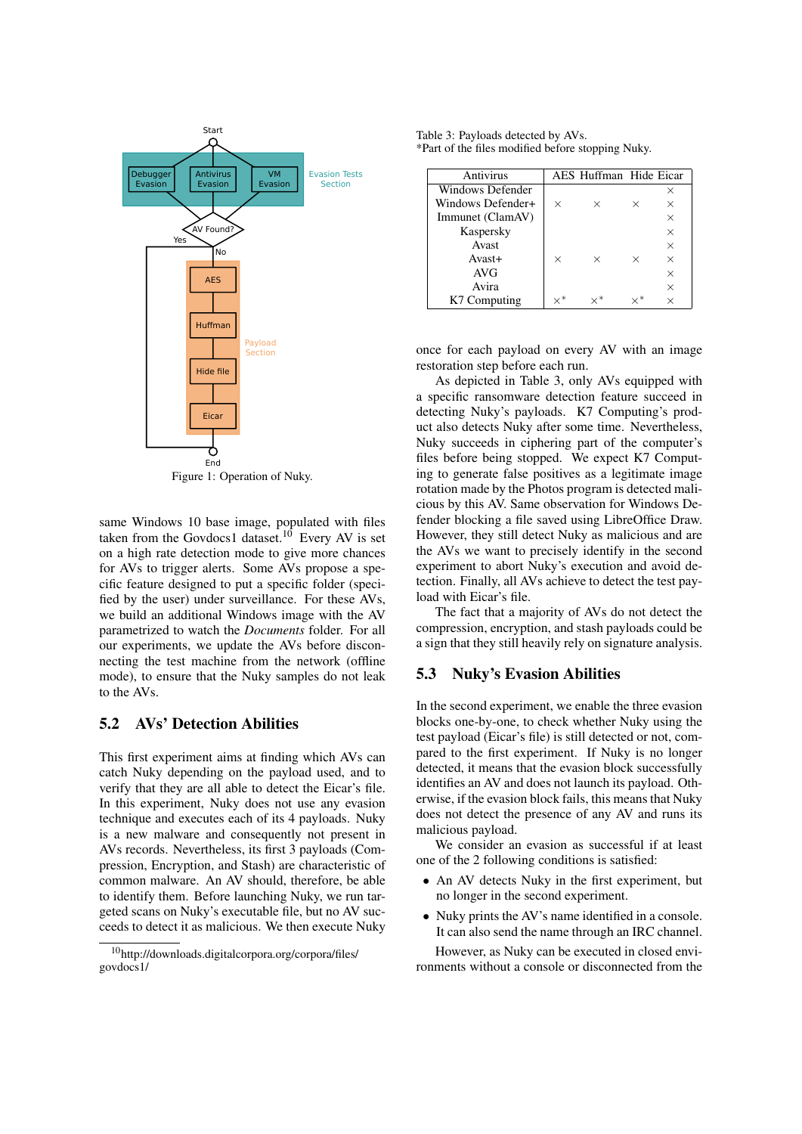<span id="page-3-0"></span>

Figure 1: Operation of Nuky.

same Windows 10 base image, populated with files taken from the Govdocs1 dataset.<sup>[10](#page-3-1)</sup> Every AV is set on a high rate detection mode to give more chances for AVs to trigger alerts. Some AVs propose a specific feature designed to put a specific folder (specified by the user) under surveillance. For these AVs, we build an additional Windows image with the AV parametrized to watch the *Documents* folder. For all our experiments, we update the AVs before disconnecting the test machine from the network (offline mode), to ensure that the Nuky samples do not leak to the AVs.

### 5.2 AVs' Detection Abilities

This first experiment aims at finding which AVs can catch Nuky depending on the payload used, and to verify that they are all able to detect the Eicar's file. In this experiment, Nuky does not use any evasion technique and executes each of its 4 payloads. Nuky is a new malware and consequently not present in AVs records. Nevertheless, its first 3 payloads (Compression, Encryption, and Stash) are characteristic of common malware. An AV should, therefore, be able to identify them. Before launching Nuky, we run targeted scans on Nuky's executable file, but no AV succeeds to detect it as malicious. We then execute Nuky

<span id="page-3-2"></span>Table 3: Payloads detected by AVs. \*Part of the files modified before stopping Nuky.

| Antivirus         |          | AES Huffman Hide Eicar |          |          |
|-------------------|----------|------------------------|----------|----------|
| Windows Defender  |          |                        |          | ×        |
| Windows Defender+ | X        | ×                      | ×        | $\times$ |
| Immunet (ClamAV)  |          |                        |          | $\times$ |
| Kaspersky         |          |                        |          | $\times$ |
| Avast             |          |                        |          | $\times$ |
| $Avast+$          | $\times$ | $\times$               | $\times$ | $\times$ |
| <b>AVG</b>        |          |                        |          | $\times$ |
| Avira             |          |                        |          | $\times$ |
| K7 Computing      |          |                        |          |          |

once for each payload on every AV with an image restoration step before each run.

As depicted in Table [3,](#page-3-2) only AVs equipped with a specific ransomware detection feature succeed in detecting Nuky's payloads. K7 Computing's product also detects Nuky after some time. Nevertheless, Nuky succeeds in ciphering part of the computer's files before being stopped. We expect K7 Computing to generate false positives as a legitimate image rotation made by the Photos program is detected malicious by this AV. Same observation for Windows Defender blocking a file saved using LibreOffice Draw. However, they still detect Nuky as malicious and are the AVs we want to precisely identify in the second experiment to abort Nuky's execution and avoid detection. Finally, all AVs achieve to detect the test payload with Eicar's file.

The fact that a majority of AVs do not detect the compression, encryption, and stash payloads could be a sign that they still heavily rely on signature analysis.

#### 5.3 Nuky's Evasion Abilities

In the second experiment, we enable the three evasion blocks one-by-one, to check whether Nuky using the test payload (Eicar's file) is still detected or not, compared to the first experiment. If Nuky is no longer detected, it means that the evasion block successfully identifies an AV and does not launch its payload. Otherwise, if the evasion block fails, this means that Nuky does not detect the presence of any AV and runs its malicious payload.

We consider an evasion as successful if at least one of the 2 following conditions is satisfied:

- An AV detects Nuky in the first experiment, but no longer in the second experiment.
- Nuky prints the AV's name identified in a console. It can also send the name through an IRC channel.

However, as Nuky can be executed in closed environments without a console or disconnected from the

<span id="page-3-1"></span><sup>10</sup>[http://downloads.digitalcorpora.org/corpora/files/](http://downloads.digitalcorpora.org/corpora/files/govdocs1/) [govdocs1/](http://downloads.digitalcorpora.org/corpora/files/govdocs1/)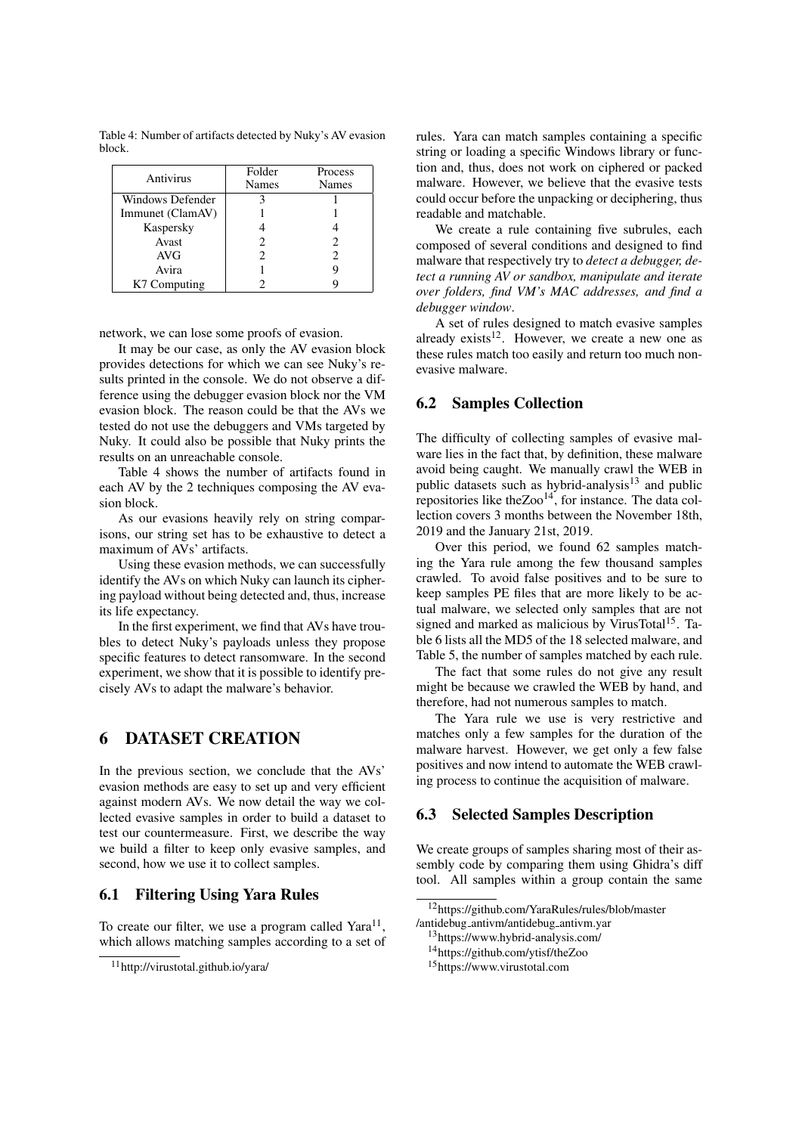<span id="page-4-1"></span>Table 4: Number of artifacts detected by Nuky's AV evasion block.

| Antivirus        | Folder | <b>Process</b> |
|------------------|--------|----------------|
|                  | Names  | Names          |
| Windows Defender |        |                |
| Immunet (ClamAV) |        |                |
| Kaspersky        |        |                |
| Avast            |        | 2              |
| <b>AVG</b>       |        | 2              |
| Avira            |        |                |
| K7 Computing     |        |                |

network, we can lose some proofs of evasion.

It may be our case, as only the AV evasion block provides detections for which we can see Nuky's results printed in the console. We do not observe a difference using the debugger evasion block nor the VM evasion block. The reason could be that the AVs we tested do not use the debuggers and VMs targeted by Nuky. It could also be possible that Nuky prints the results on an unreachable console.

Table [4](#page-4-1) shows the number of artifacts found in each AV by the 2 techniques composing the AV evasion block.

As our evasions heavily rely on string comparisons, our string set has to be exhaustive to detect a maximum of AVs' artifacts.

Using these evasion methods, we can successfully identify the AVs on which Nuky can launch its ciphering payload without being detected and, thus, increase its life expectancy.

In the first experiment, we find that AVs have troubles to detect Nuky's payloads unless they propose specific features to detect ransomware. In the second experiment, we show that it is possible to identify precisely AVs to adapt the malware's behavior.

## <span id="page-4-0"></span>6 DATASET CREATION

In the previous section, we conclude that the AVs' evasion methods are easy to set up and very efficient against modern AVs. We now detail the way we collected evasive samples in order to build a dataset to test our countermeasure. First, we describe the way we build a filter to keep only evasive samples, and second, how we use it to collect samples.

### 6.1 Filtering Using Yara Rules

To create our filter, we use a program called  $Yara^{11}$  $Yara^{11}$  $Yara^{11}$ , which allows matching samples according to a set of rules. Yara can match samples containing a specific string or loading a specific Windows library or function and, thus, does not work on ciphered or packed malware. However, we believe that the evasive tests could occur before the unpacking or deciphering, thus readable and matchable.

We create a rule containing five subrules, each composed of several conditions and designed to find malware that respectively try to *detect a debugger, detect a running AV or sandbox, manipulate and iterate over folders, find VM's MAC addresses, and find a debugger window*.

A set of rules designed to match evasive samples already exists $12$ . However, we create a new one as these rules match too easily and return too much nonevasive malware.

### 6.2 Samples Collection

The difficulty of collecting samples of evasive malware lies in the fact that, by definition, these malware avoid being caught. We manually crawl the WEB in public datasets such as hybrid-analysis $13$  and public repositories like the $Zoo<sup>14</sup>$  $Zoo<sup>14</sup>$  $Zoo<sup>14</sup>$ , for instance. The data collection covers 3 months between the November 18th, 2019 and the January 21st, 2019.

Over this period, we found 62 samples matching the Yara rule among the few thousand samples crawled. To avoid false positives and to be sure to keep samples PE files that are more likely to be actual malware, we selected only samples that are not signed and marked as malicious by VirusTotal<sup>[15](#page-4-6)</sup>. Table [6](#page-5-1) lists all the MD5 of the 18 selected malware, and Table [5,](#page-5-2) the number of samples matched by each rule.

The fact that some rules do not give any result might be because we crawled the WEB by hand, and therefore, had not numerous samples to match.

The Yara rule we use is very restrictive and matches only a few samples for the duration of the malware harvest. However, we get only a few false positives and now intend to automate the WEB crawling process to continue the acquisition of malware.

#### 6.3 Selected Samples Description

We create groups of samples sharing most of their assembly code by comparing them using Ghidra's diff tool. All samples within a group contain the same

<span id="page-4-5"></span><sup>14</sup><https://github.com/ytisf/theZoo>

<span id="page-4-2"></span><sup>11</sup><http://virustotal.github.io/yara/>

<span id="page-4-3"></span><sup>12</sup>[https://github.com/YaraRules/rules/blob/master](https://github.com/Yara-Rules/rules/blob/master/antidebug_antivm/antidebug_antivm.yar) /antidebug [antivm/antidebug](https://github.com/Yara-Rules/rules/blob/master/antidebug_antivm/antidebug_antivm.yar) antivm.yar

<span id="page-4-4"></span><sup>13</sup><https://www.hybrid-analysis.com/>

<span id="page-4-6"></span><sup>15</sup><https://www.virustotal.com>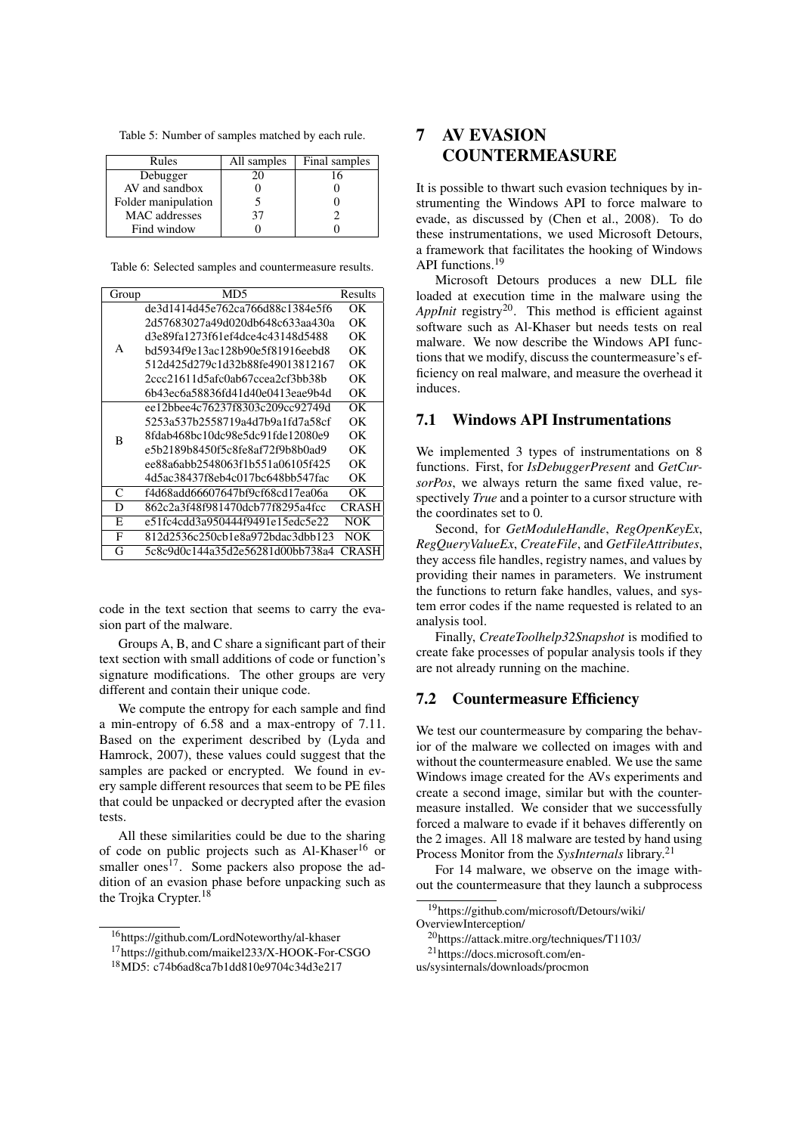<span id="page-5-2"></span>Table 5: Number of samples matched by each rule.

| Rules                | All samples | Final samples |
|----------------------|-------------|---------------|
| Debugger             |             |               |
| AV and sandbox       |             |               |
| Folder manipulation  |             |               |
| <b>MAC</b> addresses | 37          |               |
| Find window          |             |               |

<span id="page-5-1"></span>Table 6: Selected samples and countermeasure results.

| Group        | MD5                              | Results      |
|--------------|----------------------------------|--------------|
|              | de3d1414d45e762ca766d88c1384e5f6 | OΚ           |
| A            | 2d57683027a49d020db648c633aa430a | OΚ           |
|              | d3e89fa1273f61ef4dce4c43148d5488 | OК           |
|              | bd5934f9e13ac128b90e5f81916eebd8 | OΚ           |
|              | 512d425d279c1d32b88fe49013812167 | OΚ           |
|              | 2ccc21611d5afc0ab67ccea2cf3bb38b | OК           |
|              | 6b43ec6a58836fd41d40e0413eae9b4d | OК           |
| B            | ee12bbee4c76237f8303c209cc92749d | OΚ           |
|              | 5253a537b2558719a4d7b9a1fd7a58cf | OΚ           |
|              | 8fdab468bc10dc98e5dc91fde12080e9 | OΚ           |
|              | e5b2189b8450f5c8fe8af72f9b8b0ad9 | OΚ           |
|              | ee88a6abb2548063f1b551a06105f425 | OК           |
|              | 4d5ac38437f8eb4c017bc648bb547fac | OК           |
| $\mathsf{C}$ | f4d68add66607647bf9cf68cd17ea06a | OК           |
| D            | 862c2a3f48f981470dcb77f8295a4fcc | <b>CRASH</b> |
| E            | e51fc4cdd3a950444f9491e15edc5e22 | NOK          |
| F            | 812d2536c250cb1e8a972bdac3dbb123 | NOK          |
| G            | 5c8c9d0c144a35d2e56281d00bb738a4 | CR A SH      |

code in the text section that seems to carry the evasion part of the malware.

Groups A, B, and C share a significant part of their text section with small additions of code or function's signature modifications. The other groups are very different and contain their unique code.

We compute the entropy for each sample and find a min-entropy of 6.58 and a max-entropy of 7.11. Based on the experiment described by [\(Lyda and](#page-7-17) [Hamrock, 2007\)](#page-7-17), these values could suggest that the samples are packed or encrypted. We found in every sample different resources that seem to be PE files that could be unpacked or decrypted after the evasion tests.

All these similarities could be due to the sharing of code on public projects such as  $Al-Khaser^{16}$  $Al-Khaser^{16}$  $Al-Khaser^{16}$  or smaller ones $17$ . Some packers also propose the addition of an evasion phase before unpacking such as the Trojka Crypter.<sup>[18](#page-5-5)</sup>

# <span id="page-5-0"></span>7 AV EVASION COUNTERMEASURE

It is possible to thwart such evasion techniques by instrumenting the Windows API to force malware to evade, as discussed by [\(Chen et al., 2008\)](#page-7-0). To do these instrumentations, we used Microsoft Detours, a framework that facilitates the hooking of Windows API functions.[19](#page-5-6)

Microsoft Detours produces a new DLL file loaded at execution time in the malware using the AppInit registry<sup>[20](#page-5-7)</sup>. This method is efficient against software such as Al-Khaser but needs tests on real malware. We now describe the Windows API functions that we modify, discuss the countermeasure's efficiency on real malware, and measure the overhead it induces.

### 7.1 Windows API Instrumentations

We implemented 3 types of instrumentations on 8 functions. First, for *IsDebuggerPresent* and *GetCursorPos*, we always return the same fixed value, respectively *True* and a pointer to a cursor structure with the coordinates set to 0.

Second, for *GetModuleHandle*, *RegOpenKeyEx*, *RegQueryValueEx*, *CreateFile*, and *GetFileAttributes*, they access file handles, registry names, and values by providing their names in parameters. We instrument the functions to return fake handles, values, and system error codes if the name requested is related to an analysis tool.

Finally, *CreateToolhelp32Snapshot* is modified to create fake processes of popular analysis tools if they are not already running on the machine.

### 7.2 Countermeasure Efficiency

We test our countermeasure by comparing the behavior of the malware we collected on images with and without the countermeasure enabled. We use the same Windows image created for the AVs experiments and create a second image, similar but with the countermeasure installed. We consider that we successfully forced a malware to evade if it behaves differently on the 2 images. All 18 malware are tested by hand using Process Monitor from the *SysInternals* library.[21](#page-5-8)

For 14 malware, we observe on the image without the countermeasure that they launch a subprocess

<span id="page-5-3"></span><sup>16</sup><https://github.com/LordNoteworthy/al-khaser>

<span id="page-5-4"></span><sup>17</sup><https://github.com/maikel233/X-HOOK-For-CSGO>

<span id="page-5-5"></span><sup>18</sup>MD5: c74b6ad8ca7b1dd810e9704c34d3e217

<span id="page-5-6"></span><sup>19</sup>[https://github.com/microsoft/Detours/wiki/](https://github.com/microsoft/Detours/wiki/OverviewInterception) [OverviewInterception/](https://github.com/microsoft/Detours/wiki/OverviewInterception)

<span id="page-5-7"></span><sup>20</sup><https://attack.mitre.org/techniques/T1103/>

<span id="page-5-8"></span><sup>21</sup>[https://docs.microsoft.com/en-](https://docs.microsoft.com/en-us/sysinternals/downloads/procmon)

[us/sysinternals/downloads/procmon](https://docs.microsoft.com/en-us/sysinternals/downloads/procmon)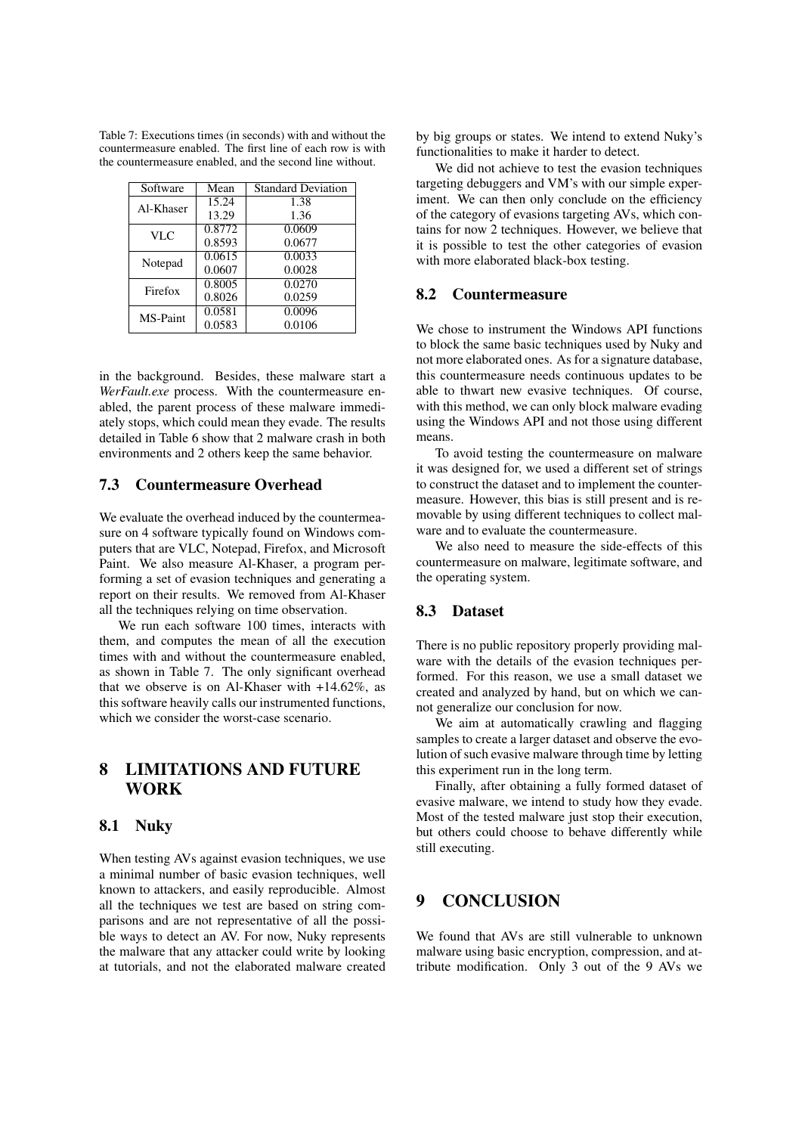<span id="page-6-1"></span>Table 7: Executions times (in seconds) with and without the countermeasure enabled. The first line of each row is with the countermeasure enabled, and the second line without.

| Software        | Mean               | <b>Standard Deviation</b> |
|-----------------|--------------------|---------------------------|
| Al-Khaser       | $15.\overline{24}$ | 1.38                      |
|                 | 13.29              | 1.36                      |
| VLC             | 0.8772             | 0.0609                    |
|                 | 0.8593             | 0.0677                    |
| Notepad         | 0.0615             | 0.0033                    |
|                 | 0.0607             | 0.0028                    |
| Firefox         | 0.8005             | 0.0270                    |
|                 | 0.8026             | 0.0259                    |
| <b>MS-Paint</b> | 0.0581             | 0.0096                    |
|                 | 0.0583             | 0.0106                    |

in the background. Besides, these malware start a *WerFault.exe* process. With the countermeasure enabled, the parent process of these malware immediately stops, which could mean they evade. The results detailed in Table [6](#page-5-1) show that 2 malware crash in both environments and 2 others keep the same behavior.

### 7.3 Countermeasure Overhead

We evaluate the overhead induced by the countermeasure on 4 software typically found on Windows computers that are VLC, Notepad, Firefox, and Microsoft Paint. We also measure Al-Khaser, a program performing a set of evasion techniques and generating a report on their results. We removed from Al-Khaser all the techniques relying on time observation.

We run each software 100 times, interacts with them, and computes the mean of all the execution times with and without the countermeasure enabled, as shown in Table [7.](#page-6-1) The only significant overhead that we observe is on Al-Khaser with +14.62%, as this software heavily calls our instrumented functions, which we consider the worst-case scenario.

# <span id="page-6-0"></span>8 LIMITATIONS AND FUTURE **WORK**

#### 8.1 Nuky

When testing AVs against evasion techniques, we use a minimal number of basic evasion techniques, well known to attackers, and easily reproducible. Almost all the techniques we test are based on string comparisons and are not representative of all the possible ways to detect an AV. For now, Nuky represents the malware that any attacker could write by looking at tutorials, and not the elaborated malware created by big groups or states. We intend to extend Nuky's functionalities to make it harder to detect.

We did not achieve to test the evasion techniques targeting debuggers and VM's with our simple experiment. We can then only conclude on the efficiency of the category of evasions targeting AVs, which contains for now 2 techniques. However, we believe that it is possible to test the other categories of evasion with more elaborated black-box testing.

### 8.2 Countermeasure

We chose to instrument the Windows API functions to block the same basic techniques used by Nuky and not more elaborated ones. As for a signature database, this countermeasure needs continuous updates to be able to thwart new evasive techniques. Of course, with this method, we can only block malware evading using the Windows API and not those using different means.

To avoid testing the countermeasure on malware it was designed for, we used a different set of strings to construct the dataset and to implement the countermeasure. However, this bias is still present and is removable by using different techniques to collect malware and to evaluate the countermeasure.

We also need to measure the side-effects of this countermeasure on malware, legitimate software, and the operating system.

### 8.3 Dataset

There is no public repository properly providing malware with the details of the evasion techniques performed. For this reason, we use a small dataset we created and analyzed by hand, but on which we cannot generalize our conclusion for now.

We aim at automatically crawling and flagging samples to create a larger dataset and observe the evolution of such evasive malware through time by letting this experiment run in the long term.

Finally, after obtaining a fully formed dataset of evasive malware, we intend to study how they evade. Most of the tested malware just stop their execution, but others could choose to behave differently while still executing.

# 9 CONCLUSION

We found that AVs are still vulnerable to unknown malware using basic encryption, compression, and attribute modification. Only 3 out of the 9 AVs we